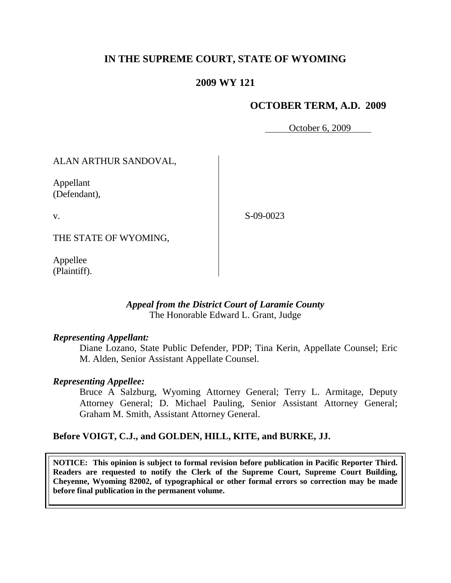# **IN THE SUPREME COURT, STATE OF WYOMING**

## **2009 WY 121**

### **OCTOBER TERM, A.D. 2009**

October 6, 2009

## ALAN ARTHUR SANDOVAL,

Appellant (Defendant),

v.

S-09-0023

THE STATE OF WYOMING,

Appellee (Plaintiff).

#### *Appeal from the District Court of Laramie County* The Honorable Edward L. Grant, Judge

#### *Representing Appellant:*

Diane Lozano, State Public Defender, PDP; Tina Kerin, Appellate Counsel; Eric M. Alden, Senior Assistant Appellate Counsel.

#### *Representing Appellee:*

Bruce A Salzburg, Wyoming Attorney General; Terry L. Armitage, Deputy Attorney General; D. Michael Pauling, Senior Assistant Attorney General; Graham M. Smith, Assistant Attorney General.

#### **Before VOIGT, C.J., and GOLDEN, HILL, KITE, and BURKE, JJ.**

**NOTICE: This opinion is subject to formal revision before publication in Pacific Reporter Third. Readers are requested to notify the Clerk of the Supreme Court, Supreme Court Building, Cheyenne, Wyoming 82002, of typographical or other formal errors so correction may be made before final publication in the permanent volume.**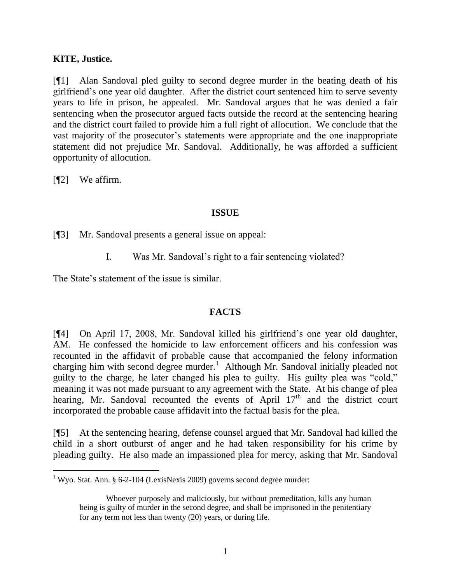## **KITE, Justice.**

[¶1] Alan Sandoval pled guilty to second degree murder in the beating death of his girlfriend"s one year old daughter. After the district court sentenced him to serve seventy years to life in prison, he appealed. Mr. Sandoval argues that he was denied a fair sentencing when the prosecutor argued facts outside the record at the sentencing hearing and the district court failed to provide him a full right of allocution. We conclude that the vast majority of the prosecutor's statements were appropriate and the one inappropriate statement did not prejudice Mr. Sandoval. Additionally, he was afforded a sufficient opportunity of allocution.

[¶2] We affirm.

 $\overline{a}$ 

## **ISSUE**

[¶3] Mr. Sandoval presents a general issue on appeal:

I. Was Mr. Sandoval"s right to a fair sentencing violated?

The State's statement of the issue is similar.

## **FACTS**

[¶4] On April 17, 2008, Mr. Sandoval killed his girlfriend"s one year old daughter, AM. He confessed the homicide to law enforcement officers and his confession was recounted in the affidavit of probable cause that accompanied the felony information charging him with second degree murder.<sup>1</sup> Although Mr. Sandoval initially pleaded not guilty to the charge, he later changed his plea to guilty. His guilty plea was "cold," meaning it was not made pursuant to any agreement with the State. At his change of plea hearing, Mr. Sandoval recounted the events of April  $17<sup>th</sup>$  and the district court incorporated the probable cause affidavit into the factual basis for the plea.

[¶5] At the sentencing hearing, defense counsel argued that Mr. Sandoval had killed the child in a short outburst of anger and he had taken responsibility for his crime by pleading guilty. He also made an impassioned plea for mercy, asking that Mr. Sandoval

<sup>&</sup>lt;sup>1</sup> Wyo. Stat. Ann. § 6-2-104 (LexisNexis 2009) governs second degree murder:

Whoever purposely and maliciously, but without premeditation, kills any human being is guilty of murder in the second degree, and shall be imprisoned in the penitentiary for any term not less than twenty (20) years, or during life.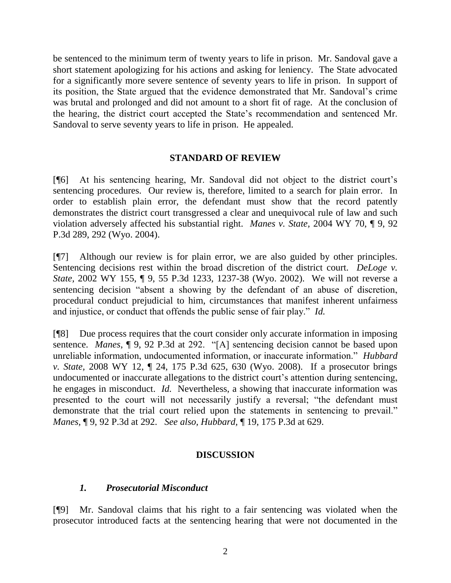be sentenced to the minimum term of twenty years to life in prison. Mr. Sandoval gave a short statement apologizing for his actions and asking for leniency. The State advocated for a significantly more severe sentence of seventy years to life in prison. In support of its position, the State argued that the evidence demonstrated that Mr. Sandoval"s crime was brutal and prolonged and did not amount to a short fit of rage. At the conclusion of the hearing, the district court accepted the State"s recommendation and sentenced Mr. Sandoval to serve seventy years to life in prison. He appealed.

## **STANDARD OF REVIEW**

[¶6] At his sentencing hearing, Mr. Sandoval did not object to the district court"s sentencing procedures. Our review is, therefore, limited to a search for plain error. In order to establish plain error, the defendant must show that the record patently demonstrates the district court transgressed a clear and unequivocal rule of law and such violation adversely affected his substantial right. *Manes v. State,* 2004 WY 70, ¶ 9, 92 P.3d 289, 292 (Wyo. 2004).

[¶7] Although our review is for plain error, we are also guided by other principles. Sentencing decisions rest within the broad discretion of the district court. *DeLoge v. State,* 2002 WY 155, ¶ 9, 55 P.3d 1233, 1237-38 (Wyo. 2002). We will not reverse a sentencing decision "absent a showing by the defendant of an abuse of discretion, procedural conduct prejudicial to him, circumstances that manifest inherent unfairness and injustice, or conduct that offends the public sense of fair play." *Id.* 

[¶8] Due process requires that the court consider only accurate information in imposing sentence. *Manes*, ¶ 9, 92 P.3d at 292. "[A] sentencing decision cannot be based upon unreliable information, undocumented information, or inaccurate information." *Hubbard v. State,* 2008 WY 12, ¶ 24, 175 P.3d 625, 630 (Wyo. 2008). If a prosecutor brings undocumented or inaccurate allegations to the district court's attention during sentencing, he engages in misconduct. *Id.* Nevertheless, a showing that inaccurate information was presented to the court will not necessarily justify a reversal; "the defendant must demonstrate that the trial court relied upon the statements in sentencing to prevail." *Manes,* ¶ 9, 92 P.3d at 292. *See also, Hubbard,* ¶ 19, 175 P.3d at 629.

#### **DISCUSSION**

#### *1. Prosecutorial Misconduct*

[¶9] Mr. Sandoval claims that his right to a fair sentencing was violated when the prosecutor introduced facts at the sentencing hearing that were not documented in the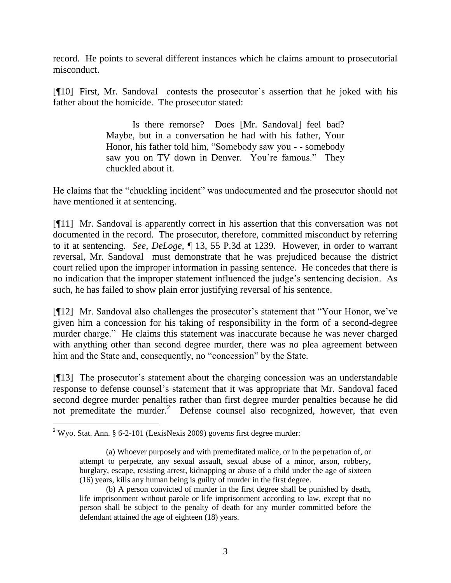record. He points to several different instances which he claims amount to prosecutorial misconduct.

[¶10] First, Mr. Sandoval contests the prosecutor's assertion that he joked with his father about the homicide. The prosecutor stated:

> Is there remorse? Does [Mr. Sandoval] feel bad? Maybe, but in a conversation he had with his father, Your Honor, his father told him, "Somebody saw you - - somebody saw you on TV down in Denver. You're famous." They chuckled about it.

He claims that the "chuckling incident" was undocumented and the prosecutor should not have mentioned it at sentencing.

[¶11] Mr. Sandoval is apparently correct in his assertion that this conversation was not documented in the record. The prosecutor, therefore, committed misconduct by referring to it at sentencing. *See*, *DeLoge,* ¶ 13, 55 P.3d at 1239. However, in order to warrant reversal, Mr. Sandoval must demonstrate that he was prejudiced because the district court relied upon the improper information in passing sentence. He concedes that there is no indication that the improper statement influenced the judge's sentencing decision. As such, he has failed to show plain error justifying reversal of his sentence.

[¶12] Mr. Sandoval also challenges the prosecutor's statement that "Your Honor, we've given him a concession for his taking of responsibility in the form of a second-degree murder charge." He claims this statement was inaccurate because he was never charged with anything other than second degree murder, there was no plea agreement between him and the State and, consequently, no "concession" by the State.

[¶13] The prosecutor's statement about the charging concession was an understandable response to defense counsel"s statement that it was appropriate that Mr. Sandoval faced second degree murder penalties rather than first degree murder penalties because he did not premeditate the murder.<sup>2</sup> Defense counsel also recognized, however, that even

 <sup>2</sup> Wyo. Stat. Ann. § 6-2-101 (LexisNexis 2009) governs first degree murder:

<sup>(</sup>a) Whoever purposely and with premeditated malice, or in the perpetration of, or attempt to perpetrate, any sexual assault, sexual abuse of a minor, arson, robbery, burglary, escape, resisting arrest, kidnapping or abuse of a child under the age of sixteen (16) years, kills any human being is guilty of murder in the first degree.

<sup>(</sup>b) A person convicted of murder in the first degree shall be punished by death, life imprisonment without parole or life imprisonment according to law, except that no person shall be subject to the penalty of death for any murder committed before the defendant attained the age of eighteen (18) years.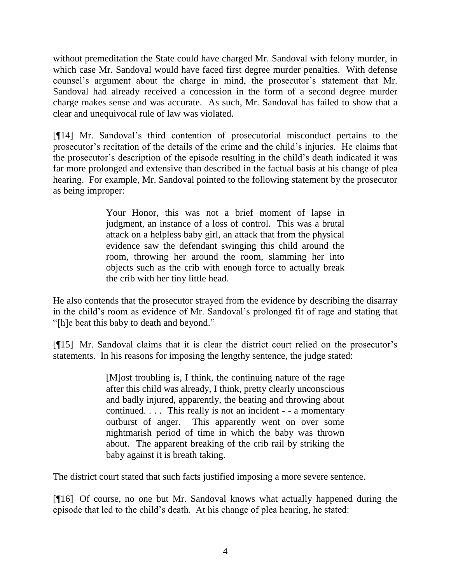without premeditation the State could have charged Mr. Sandoval with felony murder, in which case Mr. Sandoval would have faced first degree murder penalties. With defense counsel's argument about the charge in mind, the prosecutor's statement that Mr. Sandoval had already received a concession in the form of a second degree murder charge makes sense and was accurate. As such, Mr. Sandoval has failed to show that a clear and unequivocal rule of law was violated.

[¶14] Mr. Sandoval"s third contention of prosecutorial misconduct pertains to the prosecutor"s recitation of the details of the crime and the child"s injuries. He claims that the prosecutor's description of the episode resulting in the child's death indicated it was far more prolonged and extensive than described in the factual basis at his change of plea hearing. For example, Mr. Sandoval pointed to the following statement by the prosecutor as being improper:

> Your Honor, this was not a brief moment of lapse in judgment, an instance of a loss of control. This was a brutal attack on a helpless baby girl, an attack that from the physical evidence saw the defendant swinging this child around the room, throwing her around the room, slamming her into objects such as the crib with enough force to actually break the crib with her tiny little head.

He also contends that the prosecutor strayed from the evidence by describing the disarray in the child's room as evidence of Mr. Sandoval's prolonged fit of rage and stating that "[h]e beat this baby to death and beyond."

[¶15] Mr. Sandoval claims that it is clear the district court relied on the prosecutor's statements. In his reasons for imposing the lengthy sentence, the judge stated:

> [M]ost troubling is, I think, the continuing nature of the rage after this child was already, I think, pretty clearly unconscious and badly injured, apparently, the beating and throwing about continued. . . . This really is not an incident - - a momentary outburst of anger. This apparently went on over some nightmarish period of time in which the baby was thrown about. The apparent breaking of the crib rail by striking the baby against it is breath taking.

The district court stated that such facts justified imposing a more severe sentence.

[¶16] Of course, no one but Mr. Sandoval knows what actually happened during the episode that led to the child"s death. At his change of plea hearing, he stated: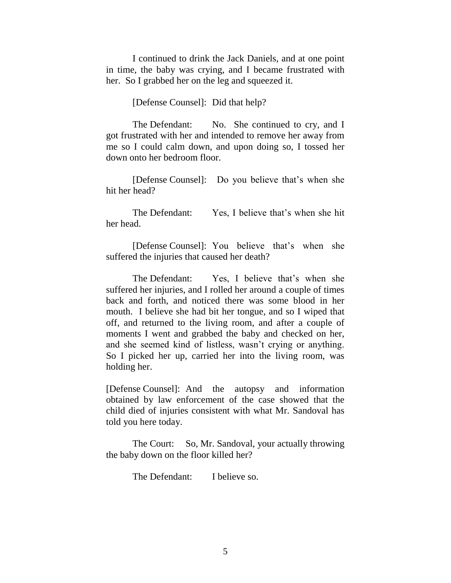I continued to drink the Jack Daniels, and at one point in time, the baby was crying, and I became frustrated with her. So I grabbed her on the leg and squeezed it.

#### [Defense Counsel]: Did that help?

The Defendant: No. She continued to cry, and I got frustrated with her and intended to remove her away from me so I could calm down, and upon doing so, I tossed her down onto her bedroom floor.

[Defense Counsel]: Do you believe that's when she hit her head?

The Defendant: Yes, I believe that's when she hit her head.

[Defense Counsel]: You believe that"s when she suffered the injuries that caused her death?

The Defendant: Yes, I believe that's when she suffered her injuries, and I rolled her around a couple of times back and forth, and noticed there was some blood in her mouth. I believe she had bit her tongue, and so I wiped that off, and returned to the living room, and after a couple of moments I went and grabbed the baby and checked on her, and she seemed kind of listless, wasn"t crying or anything. So I picked her up, carried her into the living room, was holding her.

[Defense Counsel]: And the autopsy and information obtained by law enforcement of the case showed that the child died of injuries consistent with what Mr. Sandoval has told you here today.

The Court: So, Mr. Sandoval, your actually throwing the baby down on the floor killed her?

The Defendant: I believe so.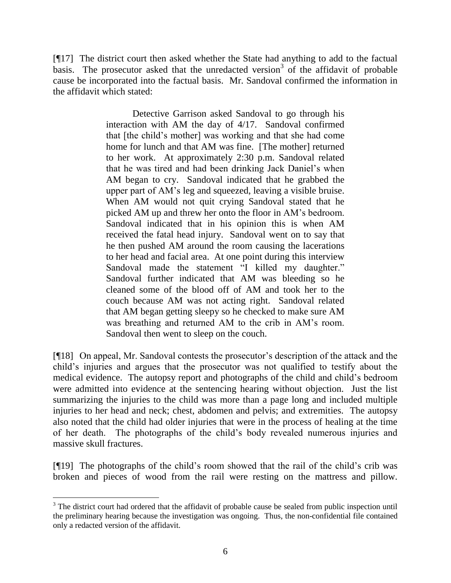[¶17] The district court then asked whether the State had anything to add to the factual basis. The prosecutor asked that the unredacted version<sup>3</sup> of the affidavit of probable cause be incorporated into the factual basis. Mr. Sandoval confirmed the information in the affidavit which stated:

> Detective Garrison asked Sandoval to go through his interaction with AM the day of 4/17. Sandoval confirmed that [the child"s mother] was working and that she had come home for lunch and that AM was fine. [The mother] returned to her work. At approximately 2:30 p.m. Sandoval related that he was tired and had been drinking Jack Daniel"s when AM began to cry. Sandoval indicated that he grabbed the upper part of AM"s leg and squeezed, leaving a visible bruise. When AM would not quit crying Sandoval stated that he picked AM up and threw her onto the floor in AM"s bedroom. Sandoval indicated that in his opinion this is when AM received the fatal head injury. Sandoval went on to say that he then pushed AM around the room causing the lacerations to her head and facial area. At one point during this interview Sandoval made the statement "I killed my daughter." Sandoval further indicated that AM was bleeding so he cleaned some of the blood off of AM and took her to the couch because AM was not acting right. Sandoval related that AM began getting sleepy so he checked to make sure AM was breathing and returned AM to the crib in AM"s room. Sandoval then went to sleep on the couch.

[¶18] On appeal, Mr. Sandoval contests the prosecutor's description of the attack and the child"s injuries and argues that the prosecutor was not qualified to testify about the medical evidence. The autopsy report and photographs of the child and child"s bedroom were admitted into evidence at the sentencing hearing without objection. Just the list summarizing the injuries to the child was more than a page long and included multiple injuries to her head and neck; chest, abdomen and pelvis; and extremities. The autopsy also noted that the child had older injuries that were in the process of healing at the time of her death. The photographs of the child"s body revealed numerous injuries and massive skull fractures.

[¶19] The photographs of the child"s room showed that the rail of the child"s crib was broken and pieces of wood from the rail were resting on the mattress and pillow.

<sup>&</sup>lt;sup>3</sup> The district court had ordered that the affidavit of probable cause be sealed from public inspection until the preliminary hearing because the investigation was ongoing. Thus, the non-confidential file contained only a redacted version of the affidavit.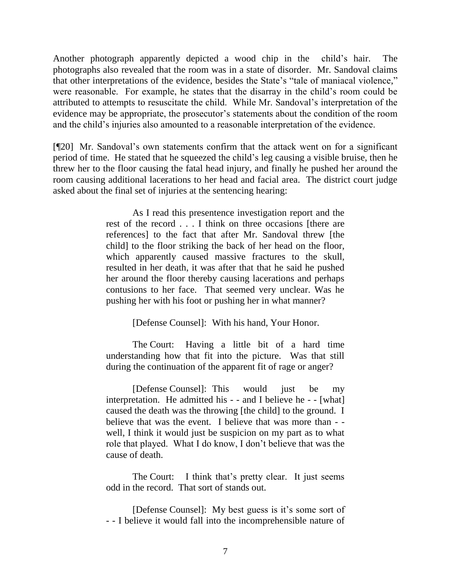Another photograph apparently depicted a wood chip in the child"s hair. The photographs also revealed that the room was in a state of disorder. Mr. Sandoval claims that other interpretations of the evidence, besides the State"s "tale of maniacal violence," were reasonable. For example, he states that the disarray in the child"s room could be attributed to attempts to resuscitate the child. While Mr. Sandoval"s interpretation of the evidence may be appropriate, the prosecutor's statements about the condition of the room and the child"s injuries also amounted to a reasonable interpretation of the evidence.

[¶20] Mr. Sandoval"s own statements confirm that the attack went on for a significant period of time. He stated that he squeezed the child"s leg causing a visible bruise, then he threw her to the floor causing the fatal head injury, and finally he pushed her around the room causing additional lacerations to her head and facial area. The district court judge asked about the final set of injuries at the sentencing hearing:

> As I read this presentence investigation report and the rest of the record . . . I think on three occasions [there are references] to the fact that after Mr. Sandoval threw [the child] to the floor striking the back of her head on the floor, which apparently caused massive fractures to the skull, resulted in her death, it was after that that he said he pushed her around the floor thereby causing lacerations and perhaps contusions to her face. That seemed very unclear. Was he pushing her with his foot or pushing her in what manner?

> > [Defense Counsel]: With his hand, Your Honor.

The Court: Having a little bit of a hard time understanding how that fit into the picture. Was that still during the continuation of the apparent fit of rage or anger?

[Defense Counsel]: This would just be my interpretation. He admitted his - - and I believe he - - [what] caused the death was the throwing [the child] to the ground. I believe that was the event. I believe that was more than - well, I think it would just be suspicion on my part as to what role that played. What I do know, I don"t believe that was the cause of death.

The Court: I think that's pretty clear. It just seems odd in the record. That sort of stands out.

[Defense Counsel]: My best guess is it's some sort of - - I believe it would fall into the incomprehensible nature of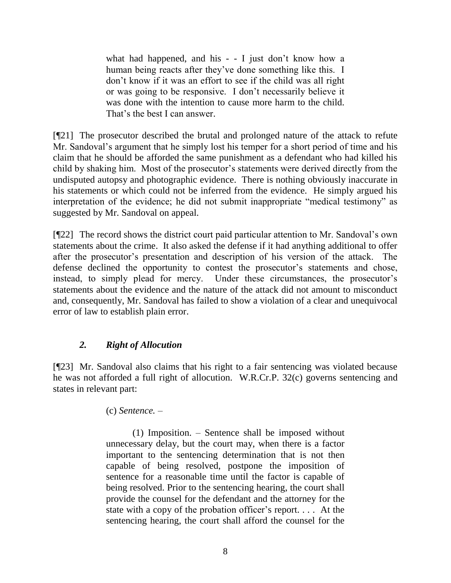what had happened, and his  $-$  - I just don't know how a human being reacts after they've done something like this. I don"t know if it was an effort to see if the child was all right or was going to be responsive. I don"t necessarily believe it was done with the intention to cause more harm to the child. That"s the best I can answer.

[¶21] The prosecutor described the brutal and prolonged nature of the attack to refute Mr. Sandoval's argument that he simply lost his temper for a short period of time and his claim that he should be afforded the same punishment as a defendant who had killed his child by shaking him. Most of the prosecutor's statements were derived directly from the undisputed autopsy and photographic evidence. There is nothing obviously inaccurate in his statements or which could not be inferred from the evidence. He simply argued his interpretation of the evidence; he did not submit inappropriate "medical testimony" as suggested by Mr. Sandoval on appeal.

[¶22] The record shows the district court paid particular attention to Mr. Sandoval"s own statements about the crime. It also asked the defense if it had anything additional to offer after the prosecutor's presentation and description of his version of the attack. The defense declined the opportunity to contest the prosecutor's statements and chose, instead, to simply plead for mercy. Under these circumstances, the prosecutor's statements about the evidence and the nature of the attack did not amount to misconduct and, consequently, Mr. Sandoval has failed to show a violation of a clear and unequivocal error of law to establish plain error.

# *2. Right of Allocution*

[¶23] Mr. Sandoval also claims that his right to a fair sentencing was violated because he was not afforded a full right of allocution. W.R.Cr.P. 32(c) governs sentencing and states in relevant part:

(c) *Sentence. –*

(1) Imposition. – Sentence shall be imposed without unnecessary delay, but the court may, when there is a factor important to the sentencing determination that is not then capable of being resolved, postpone the imposition of sentence for a reasonable time until the factor is capable of being resolved. Prior to the sentencing hearing, the court shall provide the counsel for the defendant and the attorney for the state with a copy of the probation officer's report. . . . At the sentencing hearing, the court shall afford the counsel for the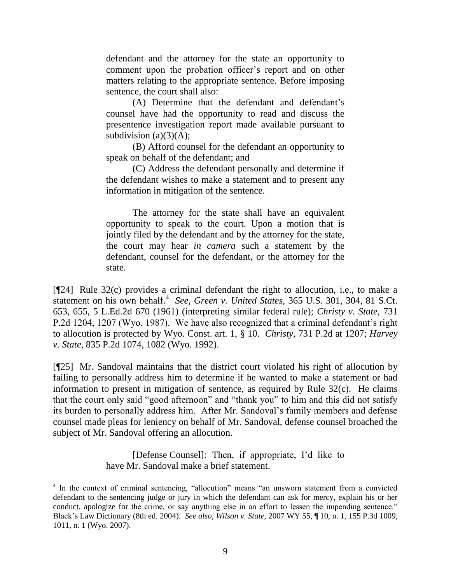defendant and the attorney for the state an opportunity to comment upon the probation officer"s report and on other matters relating to the appropriate sentence. Before imposing sentence, the court shall also:

(A) Determine that the defendant and defendant"s counsel have had the opportunity to read and discuss the presentence investigation report made available pursuant to subdivision (a) $(3)(A)$ ;

(B) Afford counsel for the defendant an opportunity to speak on behalf of the defendant; and

(C) Address the defendant personally and determine if the defendant wishes to make a statement and to present any information in mitigation of the sentence.

The attorney for the state shall have an equivalent opportunity to speak to the court. Upon a motion that is jointly filed by the defendant and by the attorney for the state, the court may hear *in camera* such a statement by the defendant, counsel for the defendant, or the attorney for the state.

[¶24] Rule 32(c) provides a criminal defendant the right to allocution, i.e., to make a statement on his own behalf.<sup>4</sup> See, Green v. United States, 365 U.S. 301, 304, 81 S.Ct. 653, 655, 5 L.Ed.2d 670 (1961) (interpreting similar federal rule); *Christy v. State,* 731 P.2d 1204, 1207 (Wyo. 1987). We have also recognized that a criminal defendant's right to allocution is protected by Wyo. Const. art. 1, § 10. *Christy,* 731 P.2d at 1207; *Harvey v. State,* 835 P.2d 1074, 1082 (Wyo. 1992).

[¶25] Mr. Sandoval maintains that the district court violated his right of allocution by failing to personally address him to determine if he wanted to make a statement or had information to present in mitigation of sentence, as required by Rule 32(c). He claims that the court only said "good afternoon" and "thank you" to him and this did not satisfy its burden to personally address him. After Mr. Sandoval"s family members and defense counsel made pleas for leniency on behalf of Mr. Sandoval, defense counsel broached the subject of Mr. Sandoval offering an allocution.

> [Defense Counsel]: Then, if appropriate, I"d like to have Mr. Sandoval make a brief statement.

<sup>&</sup>lt;sup>4</sup> In the context of criminal sentencing, "allocution" means "an unsworn statement from a convicted defendant to the sentencing judge or jury in which the defendant can ask for mercy, explain his or her conduct, apologize for the crime, or say anything else in an effort to lessen the impending sentence." Black"s Law Dictionary (8th ed. 2004). *See also*, *Wilson v. State,* 2007 WY 55, ¶ 10, n. 1, 155 P.3d 1009, 1011, n. 1 (Wyo. 2007).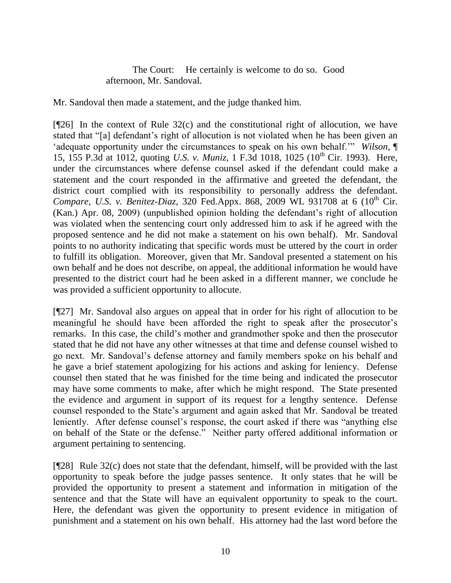The Court: He certainly is welcome to do so. Good afternoon, Mr. Sandoval.

Mr. Sandoval then made a statement, and the judge thanked him.

[¶26] In the context of Rule 32(c) and the constitutional right of allocution, we have stated that "[a] defendant"s right of allocution is not violated when he has been given an "adequate opportunity under the circumstances to speak on his own behalf."" *Wilson,* ¶ 15, 155 P.3d at 1012, quoting *U.S. v. Muniz*, 1 F.3d 1018, 1025 (10<sup>th</sup> Cir. 1993). Here, under the circumstances where defense counsel asked if the defendant could make a statement and the court responded in the affirmative and greeted the defendant, the district court complied with its responsibility to personally address the defendant. *Compare, U.S. v. Benitez-Diaz, 320 Fed.Appx. 868, 2009 WL 931708 at 6 (10<sup>th</sup> Cir.* (Kan.) Apr. 08, 2009) (unpublished opinion holding the defendant"s right of allocution was violated when the sentencing court only addressed him to ask if he agreed with the proposed sentence and he did not make a statement on his own behalf). Mr. Sandoval points to no authority indicating that specific words must be uttered by the court in order to fulfill its obligation. Moreover, given that Mr. Sandoval presented a statement on his own behalf and he does not describe, on appeal, the additional information he would have presented to the district court had he been asked in a different manner, we conclude he was provided a sufficient opportunity to allocute.

[¶27] Mr. Sandoval also argues on appeal that in order for his right of allocution to be meaningful he should have been afforded the right to speak after the prosecutor's remarks. In this case, the child"s mother and grandmother spoke and then the prosecutor stated that he did not have any other witnesses at that time and defense counsel wished to go next. Mr. Sandoval"s defense attorney and family members spoke on his behalf and he gave a brief statement apologizing for his actions and asking for leniency. Defense counsel then stated that he was finished for the time being and indicated the prosecutor may have some comments to make, after which he might respond. The State presented the evidence and argument in support of its request for a lengthy sentence. Defense counsel responded to the State"s argument and again asked that Mr. Sandoval be treated leniently. After defense counsel's response, the court asked if there was "anything else on behalf of the State or the defense." Neither party offered additional information or argument pertaining to sentencing.

[ $[928]$ ] Rule 32(c) does not state that the defendant, himself, will be provided with the last opportunity to speak before the judge passes sentence. It only states that he will be provided the opportunity to present a statement and information in mitigation of the sentence and that the State will have an equivalent opportunity to speak to the court. Here, the defendant was given the opportunity to present evidence in mitigation of punishment and a statement on his own behalf. His attorney had the last word before the